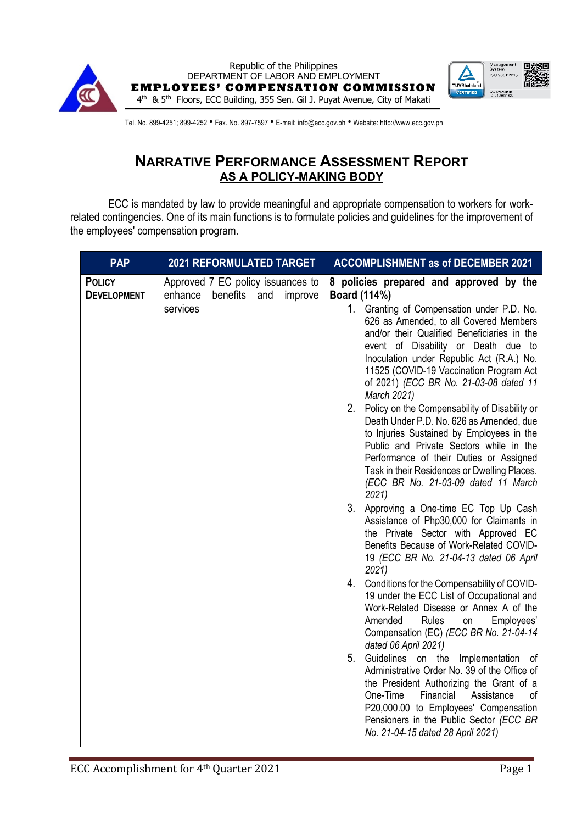



Tel. No. 899-4251; 899-4252 • Fax. No. 897-7597 • E-mail: info@ecc.gov.ph • Website: http://www.ecc.gov.ph

## **NARRATIVE PERFORMANCE ASSESSMENT REPORT AS A POLICY-MAKING BODY**

ECC is mandated by law to provide meaningful and appropriate compensation to workers for workrelated contingencies. One of its main functions is to formulate policies and guidelines for the improvement of the employees' compensation program.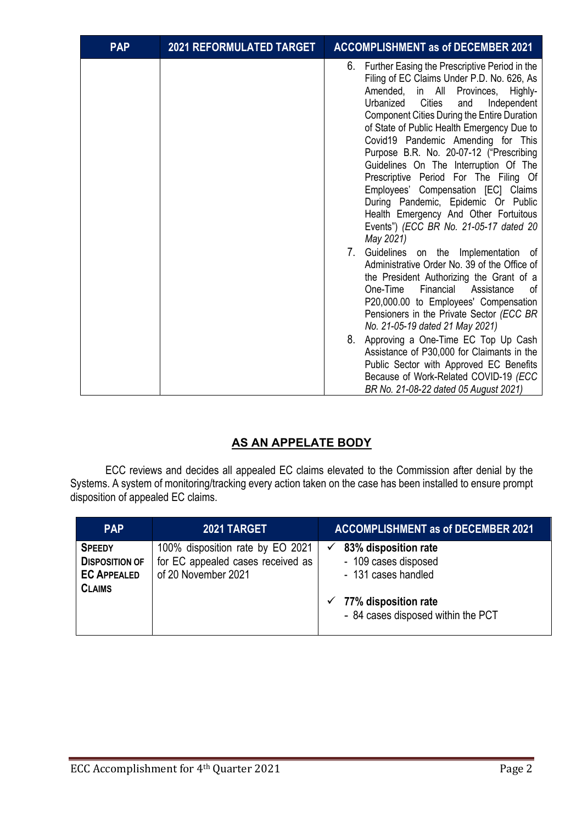| <b>PAP</b> | <b>2021 REFORMULATED TARGET</b> | <b>ACCOMPLISHMENT as of DECEMBER 2021</b>                                                                                                                                                                                                                                                                                                                                                                                                                                                                                                                                                                                                                                              |
|------------|---------------------------------|----------------------------------------------------------------------------------------------------------------------------------------------------------------------------------------------------------------------------------------------------------------------------------------------------------------------------------------------------------------------------------------------------------------------------------------------------------------------------------------------------------------------------------------------------------------------------------------------------------------------------------------------------------------------------------------|
|            |                                 | 6. Further Easing the Prescriptive Period in the<br>Filing of EC Claims Under P.D. No. 626, As<br>Amended, in All Provinces,<br>Highly-<br>Cities<br>Urbanized<br>and<br>Independent<br><b>Component Cities During the Entire Duration</b><br>of State of Public Health Emergency Due to<br>Covid19 Pandemic Amending for This<br>Purpose B.R. No. 20-07-12 ("Prescribing<br>Guidelines On The Interruption Of The<br>Prescriptive Period For The Filing Of<br>Employees' Compensation [EC] Claims<br>During Pandemic, Epidemic Or Public<br>Health Emergency And Other Fortuitous<br>Events") (ECC BR No. 21-05-17 dated 20<br>May 2021)<br>7.<br>Guidelines on the Implementation of |
|            |                                 | Administrative Order No. 39 of the Office of<br>the President Authorizing the Grant of a<br>One-Time<br>Financial<br>Assistance<br>οf<br>P20,000.00 to Employees' Compensation<br>Pensioners in the Private Sector (ECC BR<br>No. 21-05-19 dated 21 May 2021)                                                                                                                                                                                                                                                                                                                                                                                                                          |
|            |                                 | Approving a One-Time EC Top Up Cash<br>8.<br>Assistance of P30,000 for Claimants in the<br>Public Sector with Approved EC Benefits<br>Because of Work-Related COVID-19 (ECC<br>BR No. 21-08-22 dated 05 August 2021)                                                                                                                                                                                                                                                                                                                                                                                                                                                                   |

## **AS AN APPELATE BODY**

ECC reviews and decides all appealed EC claims elevated to the Commission after denial by the Systems. A system of monitoring/tracking every action taken on the case has been installed to ensure prompt disposition of appealed EC claims.

| <b>PAP</b>                                                                    | 2021 TARGET                                                                                  | <b>ACCOMPLISHMENT as of DECEMBER 2021</b>                                                                                                      |
|-------------------------------------------------------------------------------|----------------------------------------------------------------------------------------------|------------------------------------------------------------------------------------------------------------------------------------------------|
| <b>SPEEDY</b><br><b>DISPOSITION OF</b><br><b>EC APPEALED</b><br><b>CLAIMS</b> | 100% disposition rate by EO 2021<br>for EC appealed cases received as<br>of 20 November 2021 | 83% disposition rate<br>- 109 cases disposed<br>- 131 cases handled<br>$\checkmark$ 77% disposition rate<br>- 84 cases disposed within the PCT |